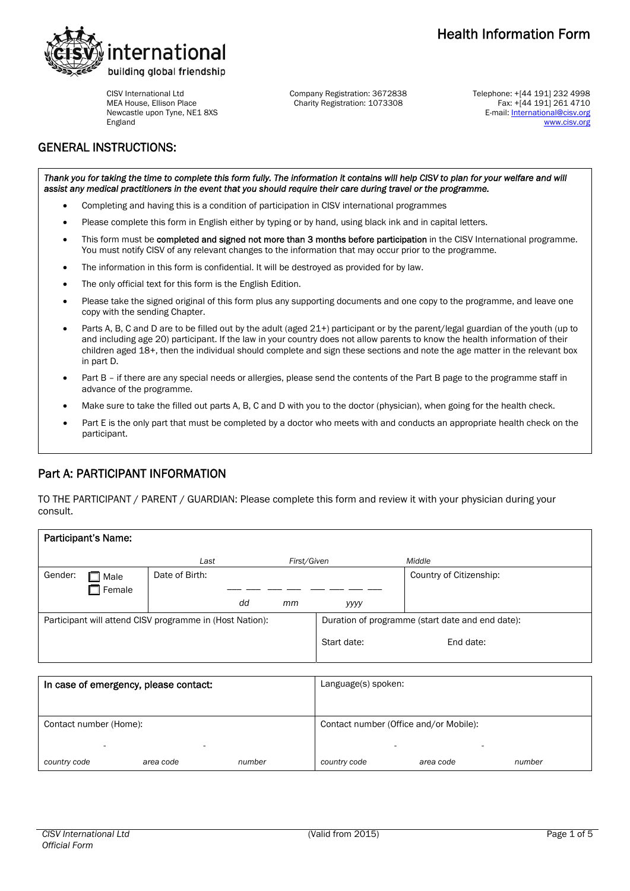

CISV International Ltd MEA House, Ellison Place Newcastle upon Tyne, NE1 8XS England

Company Registration: 3672838 Charity Registration: 1073308

Telephone: +[44 191] 232 4998 Fax: +[44 191] 261 4710 E-mail: International@cisv.org [www.cisv.org](http://www.cisv.org/)

# GENERAL INSTRUCTIONS:

Thank you for taking the time to complete this form fully. The information it contains will help CISV to plan for your welfare and will *assist any medical practitioners in the event that you should require their care during travel or the programme.* 

- Completing and having this is a condition of participation in CISV international programmes
- Please complete this form in English either by typing or by hand, using black ink and in capital letters.
- This form must be completed and signed not more than 3 months before participation in the CISV International programme. You must notify CISV of any relevant changes to the information that may occur prior to the programme.
- The information in this form is confidential. It will be destroyed as provided for by law.
- The only official text for this form is the English Edition.
- Please take the signed original of this form plus any supporting documents and one copy to the programme, and leave one copy with the sending Chapter.
- Parts A, B, C and D are to be filled out by the adult (aged 21+) participant or by the parent/legal guardian of the youth (up to and including age 20) participant. If the law in your country does not allow parents to know the health information of their children aged 18+, then the individual should complete and sign these sections and note the age matter in the relevant box in part D.
- Part B if there are any special needs or allergies, please send the contents of the Part B page to the programme staff in advance of the programme.
- Make sure to take the filled out parts A, B, C and D with you to the doctor (physician), when going for the health check.
- Part E is the only part that must be completed by a doctor who meets with and conducts an appropriate health check on the participant.

# Part A: PARTICIPANT INFORMATION

TO THE PARTICIPANT / PARENT / GUARDIAN: Please complete this form and review it with your physician during your consult.

| <b>Participant's Name:</b>            |               |                                                          |                     |                                        |                                                  |                         |
|---------------------------------------|---------------|----------------------------------------------------------|---------------------|----------------------------------------|--------------------------------------------------|-------------------------|
|                                       |               | Last                                                     |                     | First/Given                            |                                                  | Middle                  |
| Gender:                               | Male          | Date of Birth:                                           |                     |                                        |                                                  | Country of Citizenship: |
|                                       | $\Box$ Female |                                                          |                     |                                        |                                                  |                         |
|                                       |               |                                                          | dd                  | mm                                     | уууу                                             |                         |
|                                       |               | Participant will attend CISV programme in (Host Nation): |                     |                                        | Duration of programme (start date and end date): |                         |
|                                       |               |                                                          |                     |                                        | Start date:                                      | End date:               |
|                                       |               |                                                          |                     |                                        |                                                  |                         |
| In case of emergency, please contact: |               |                                                          | Language(s) spoken: |                                        |                                                  |                         |
|                                       |               |                                                          |                     |                                        |                                                  |                         |
| Contact number (Home):                |               |                                                          |                     | Contact number (Office and/or Mobile): |                                                  |                         |
|                                       |               |                                                          |                     |                                        |                                                  |                         |

*country code area code number country code area code number*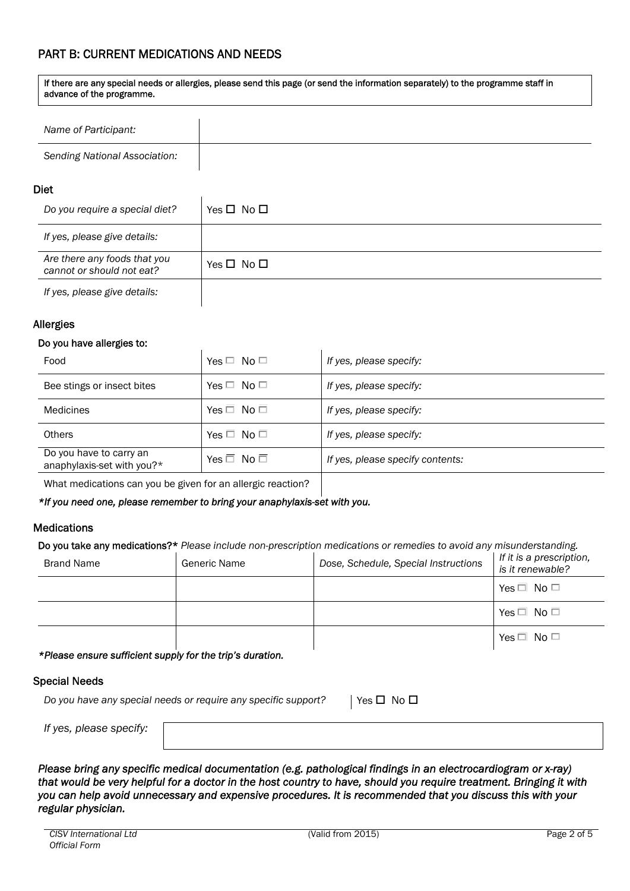# PART B: CURRENT MEDICATIONS AND NEEDS

| advance of the programme.     |  |  |
|-------------------------------|--|--|
|                               |  |  |
| Name of Participant:          |  |  |
| Sending National Association: |  |  |

If there are any special needs or allergies, please send this page (or send the information separately) to the programme staff in

## Diet

| Do you require a special diet?                            | Yes $\Box$ No $\Box$ |
|-----------------------------------------------------------|----------------------|
| If yes, please give details:                              |                      |
| Are there any foods that you<br>cannot or should not eat? | Yes $\Box$ No $\Box$ |
| If yes, please give details:                              |                      |

# Allergies

## Do you have allergies to:

| Food                                                  | Yes $\Box$ No $\Box$ | If yes, please specify:          |
|-------------------------------------------------------|----------------------|----------------------------------|
| Bee stings or insect bites                            | Yes $\Box$ No $\Box$ | If yes, please specify:          |
| Medicines                                             | Yes $\Box$ No $\Box$ | If yes, please specify:          |
| <b>Others</b>                                         | Yes $\Box$ No $\Box$ | If yes, please specify:          |
| Do you have to carry an<br>anaphylaxis-set with you?* | Yes $\Box$ No $\Box$ | If yes, please specify contents: |
|                                                       |                      |                                  |

What medications can you be given for an allergic reaction?

## *\*If you need one, please remember to bring your anaphylaxis-set with you.*

## **Medications**

Do you take any medications?\* *Please include non-prescription medications or remedies to avoid any misunderstanding.*

| Brand Name | Generic Name | Dose, Schedule, Special Instructions | If it is a prescription,<br>is it renewable? |
|------------|--------------|--------------------------------------|----------------------------------------------|
|            |              |                                      | Yes $\Box$ No $\Box$                         |
|            |              |                                      | Yes $\Box$ No $\Box$                         |
|            |              |                                      | Yes $\Box$ No $\Box$                         |

*\*Please ensure sufficient supply for the trip's duration.* 

## Special Needs

*Do you have any special needs or require any specific support?* | Yes  $\Box$  No  $\Box$ 

*If yes, plea* 

*Please bring any specific medical documentation (e.g. pathological findings in an electrocardiogram or x-ray) that would be very helpful for a doctor in the host country to have, should you require treatment. Bringing it with you can help avoid unnecessary and expensive procedures. It is recommended that you discuss this with your regular physician.*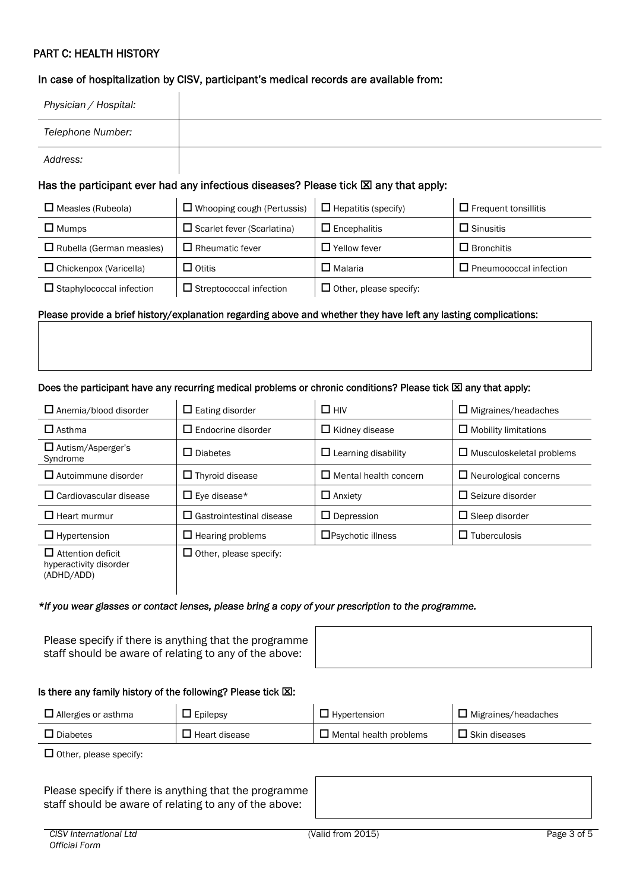# PART C: HEALTH HISTORY

## In case of hospitalization by CISV, participant's medical records are available from:

 $\mathbf{I}$ 

| Physician / Hospital:    |                                                                                               |                            |                             |  |  |
|--------------------------|-----------------------------------------------------------------------------------------------|----------------------------|-----------------------------|--|--|
| Telephone Number:        |                                                                                               |                            |                             |  |  |
| Address:                 |                                                                                               |                            |                             |  |  |
|                          | Has the participant ever had any infectious diseases? Please tick $\boxtimes$ any that apply: |                            |                             |  |  |
| $\Box$ Measles (Rubeola) | $\Box$ Whooping cough (Pertussis)                                                             | $\Box$ Hepatitis (specify) | $\Box$ Frequent tonsillitis |  |  |
| $\Box$ Mumps             | $\Box$ Scarlet fever (Scarlatina)                                                             | $\Box$ Encephalitis        | $\Box$ Sinusitis            |  |  |

|                                 | __                      | __                     | ____________           |
|---------------------------------|-------------------------|------------------------|------------------------|
| $\Box$ Chickenpox (Varicella)   | Otitis                  | Malaria                | Pneumococcal infection |
| $\Box$ Staphylococcal infection | Streptococcal infection | Other, please specify: |                        |

#### Please provide a brief history/explanation regarding above and whether they have left any lasting complications:

 $\Box$  Rubella (German measles)  $\Box$  Rheumatic fever  $\Box$   $\Box$  Yellow fever  $\Box$  Reporting

#### Does the participant have any recurring medical problems or chronic conditions? Please tick  $\boxtimes$  any that apply:

| $\Box$ Anemia/blood disorder                                     | $\Box$ Eating disorder          | $\Box$ HIV                   | $\Box$ Migraines/headaches      |
|------------------------------------------------------------------|---------------------------------|------------------------------|---------------------------------|
| $\Box$ Asthma                                                    | $\Box$ Endocrine disorder       | $\Box$ Kidney disease        | $\Box$ Mobility limitations     |
| □ Autism/Asperger's<br>Syndrome                                  | $\Box$ Diabetes                 | $\Box$ Learning disability   | $\Box$ Musculoskeletal problems |
| $\Box$ Autoimmune disorder                                       | $\Box$ Thyroid disease          | $\Box$ Mental health concern | $\Box$ Neurological concerns    |
| $\Box$ Cardiovascular disease                                    | $\Box$ Eye disease*             | $\Box$ Anxiety               | $\Box$ Seizure disorder         |
| $\Box$ Heart murmur                                              | $\Box$ Gastrointestinal disease | $\Box$ Depression            | $\Box$ Sleep disorder           |
| $\Box$ Hypertension                                              | $\Box$ Hearing problems         | $\Box$ Psychotic illness     | $\Box$ Tuberculosis             |
| $\Box$ Attention deficit<br>hyperactivity disorder<br>(ADHD/ADD) | $\Box$ Other, please specify:   |                              |                                 |

#### *\*If you wear glasses or contact lenses, please bring a copy of your prescription to the programme.*

Please specify if there is anything that the programme staff should be aware of relating to any of the above:

#### Is there any family history of the following? Please tick  $\boxtimes$ :

| $\Box$ Allergies or asthma | $\Box$ Epilepsy      | $\Box$ Hypertension           | $\Box$ Migraines/headaches |
|----------------------------|----------------------|-------------------------------|----------------------------|
| J Diabetes                 | $\Box$ Heart disease | $\Box$ Mental health problems | $\square$ Skin diseases    |

 $\Box$  Other, please specify:

Please specify if there is anything that the programme staff should be aware of relating to any of the above: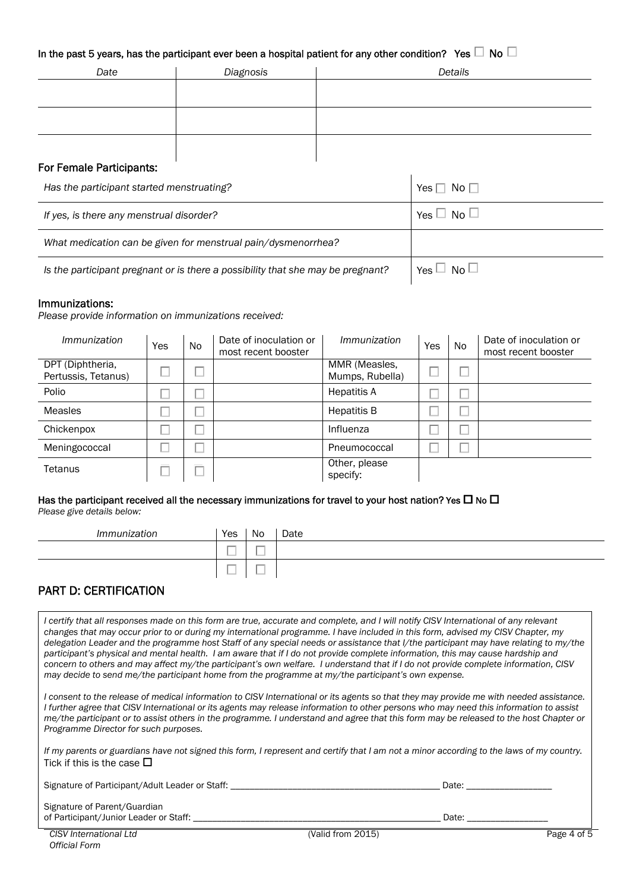# In the past 5 years, has the participant ever been a hospital patient for any other condition? Yes  $\Box$  No  $\Box$

| Date | Diagnosis | Details |
|------|-----------|---------|
|      |           |         |
|      |           |         |
|      |           |         |
|      |           |         |
|      |           |         |

## For Female Participants:

| Has the participant started menstruating?                                       | No $\Box$<br>Yes I   |
|---------------------------------------------------------------------------------|----------------------|
| If yes, is there any menstrual disorder?                                        | Yes $\Box$ No $\Box$ |
| What medication can be given for menstrual pain/dysmenorrhea?                   |                      |
| Is the participant pregnant or is there a possibility that she may be pregnant? | Yes $\Box$ No $\Box$ |

### Immunizations:

*Please provide information on immunizations received:* 

| <i>Immunization</i>                     | Yes | No. | Date of inoculation or<br>most recent booster | <i>Immunization</i>              | Yes | <b>No</b> | Date of inoculation or<br>most recent booster |
|-----------------------------------------|-----|-----|-----------------------------------------------|----------------------------------|-----|-----------|-----------------------------------------------|
| DPT (Diphtheria,<br>Pertussis, Tetanus) |     |     |                                               | MMR (Measles,<br>Mumps, Rubella) |     |           |                                               |
| Polio                                   |     |     |                                               | <b>Hepatitis A</b>               |     |           |                                               |
| Measles                                 |     |     |                                               | <b>Hepatitis B</b>               |     |           |                                               |
| Chickenpox                              |     |     |                                               | Influenza                        |     |           |                                               |
| Meningococcal                           |     |     |                                               | Pneumococcal                     |     |           |                                               |
| Tetanus                                 |     |     |                                               | Other, please<br>specify:        |     |           |                                               |

#### Has the participant received all the necessary immunizations for travel to your host nation? Yes  $\Box$  No  $\Box$ *Please give details below:*

| Immunization | Yes                      | <b>No</b>                | Date |
|--------------|--------------------------|--------------------------|------|
|              | _<br>__                  | $\overline{\phantom{a}}$ |      |
|              | $\overline{\phantom{a}}$ | $-$<br>--                |      |

# PART D: CERTIFICATION

*I certify that all responses made on this form are true, accurate and complete, and I will notify CISV International of any relevant changes that may occur prior to or during my international programme. I have included in this form, advised my CISV Chapter, my delegation Leader and the programme host Staff of any special needs or assistance that l/the participant may have relating to my/the* participant's physical and mental health. I am aware that if I do not provide complete information, this may cause hardship and *concern to others and may affect my/the participant's own welfare. I understand that if I do not provide complete information, CISV may decide to send me/the participant home from the programme at my/the participant's own expense.* 

*I consent to the release of medical information to CISV International or its agents so that they may provide me with needed assistance. I further agree that CISV International or its agents may release information to other persons who may need this information to assist me/the participant or to assist others in the programme. I understand and agree that this form may be released to the host Chapter or Programme Director for such purposes.* 

*If my parents or guardians have not signed this form, I represent and certify that I am not a minor according to the laws of my country.*  Tick if this is the case  $\square$ 

Signature of Participant/Adult Leader or Staff: \_\_\_\_\_\_\_\_\_\_\_\_\_\_\_\_\_\_\_\_\_\_\_\_\_\_\_\_\_\_\_\_\_\_\_\_\_\_\_\_\_\_\_\_ Date: \_\_\_\_\_\_\_\_\_\_\_\_\_\_\_\_\_\_

Signature of Parent/Guardian of Participant/Junior Leader or Staff: \_\_\_\_\_\_\_\_\_\_\_\_\_\_\_\_\_\_\_\_\_\_\_\_\_\_\_\_\_\_\_\_\_\_\_\_\_\_\_\_\_\_\_\_\_\_\_\_\_\_\_\_ Date: \_\_\_\_\_\_\_\_\_\_\_\_\_\_\_\_\_

*CISV International Ltd Official Form*